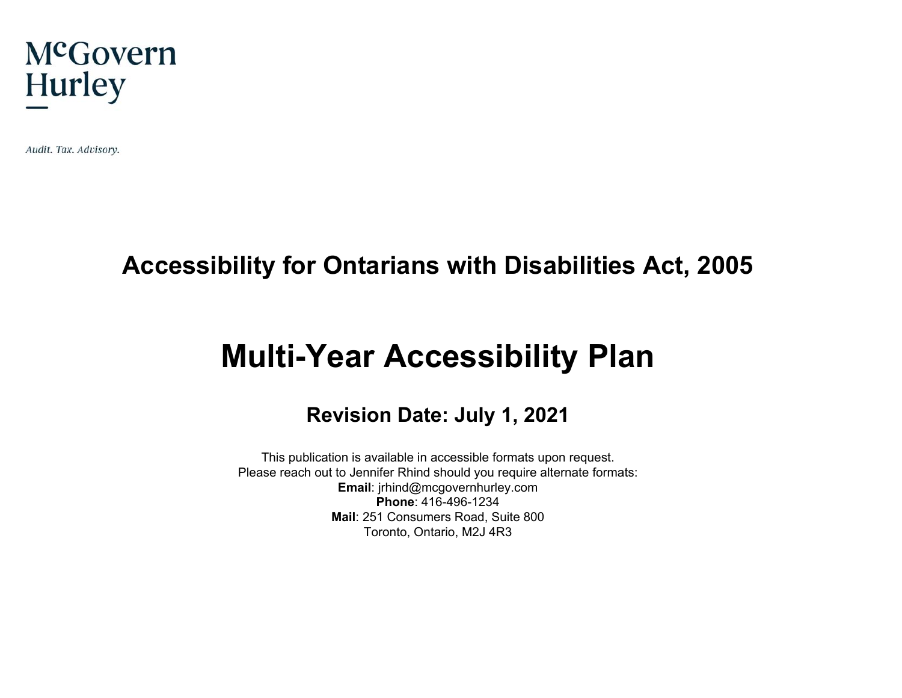

Audit. Tax. Advisory.

## **Accessibility for Ontarians with Disabilities Act, 2005**

# **Multi-Year Accessibility Plan**

#### **Revision Date: July 1, 2021**

This publication is available in accessible formats upon request. Please reach out to Jennifer Rhind should you require alternate formats: **Email**: jrhind@mcgovernhurley.com **Phone**: 416-496-1234 **Mail**: 251 Consumers Road, Suite 800 Toronto, Ontario, M2J 4R3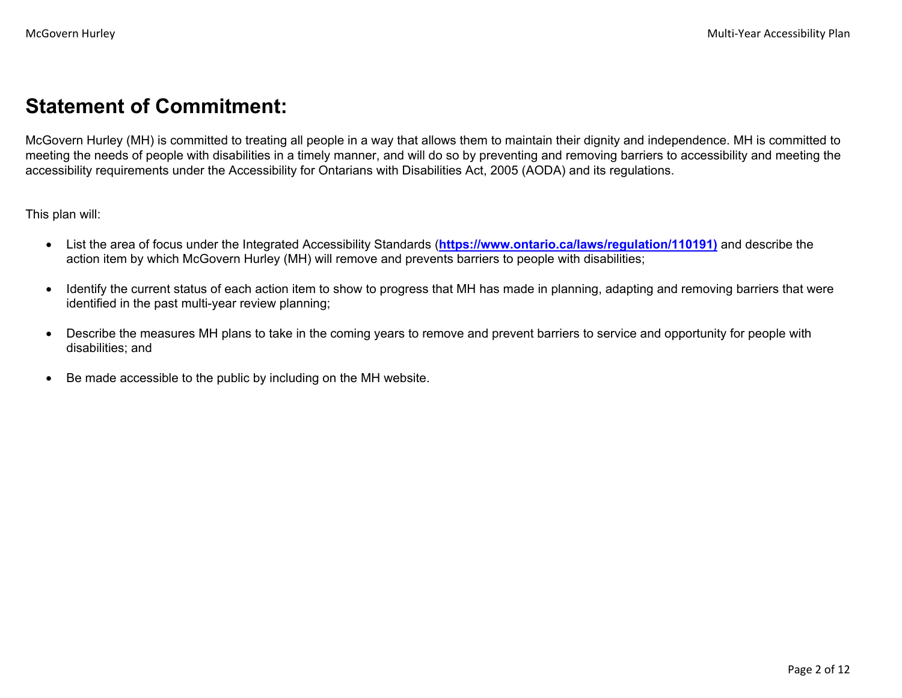### **Statement of Commitment:**

McGovern Hurley (MH) is committed to treating all people in a way that allows them to maintain their dignity and independence. MH is committed to meeting the needs of people with disabilities in a timely manner, and will do so by preventing and removing barriers to accessibility and meeting the accessibility requirements under the Accessibility for Ontarians with Disabilities Act, 2005 (AODA) and its regulations.

This plan will:

- List the area of focus under the Integrated Accessibility Standards (**https://www.ontario.ca/laws/regulation/110191)** and describe the action item by which McGovern Hurley (MH) will remove and prevents barriers to people with disabilities;
- Identify the current status of each action item to show to progress that MH has made in planning, adapting and removing barriers that were identified in the past multi-year review planning;
- Describe the measures MH plans to take in the coming years to remove and prevent barriers to service and opportunity for people with disabilities; and
- Be made accessible to the public by including on the MH website.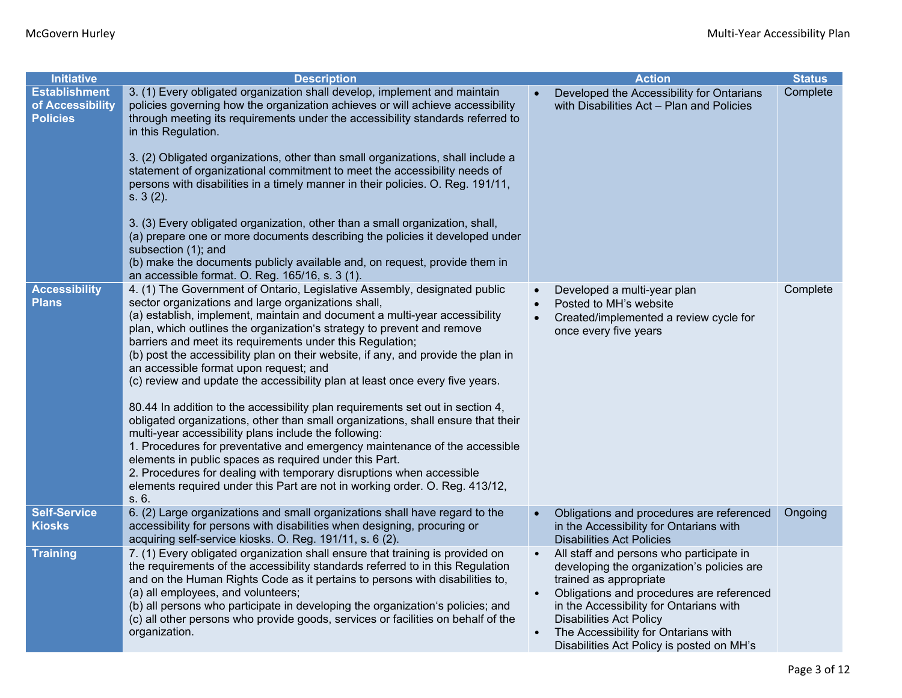| <b>Initiative</b>                                           | <b>Description</b>                                                                                                                                                                                                                                                                                                                                                                                                                                                                                                                                                                                                                                                                                                                                                                                                                                                                                                                                                                                                                                                                                          |           | <b>Action</b>                                                                                                                                                                                                                                                                                                                   | <b>Status</b> |
|-------------------------------------------------------------|-------------------------------------------------------------------------------------------------------------------------------------------------------------------------------------------------------------------------------------------------------------------------------------------------------------------------------------------------------------------------------------------------------------------------------------------------------------------------------------------------------------------------------------------------------------------------------------------------------------------------------------------------------------------------------------------------------------------------------------------------------------------------------------------------------------------------------------------------------------------------------------------------------------------------------------------------------------------------------------------------------------------------------------------------------------------------------------------------------------|-----------|---------------------------------------------------------------------------------------------------------------------------------------------------------------------------------------------------------------------------------------------------------------------------------------------------------------------------------|---------------|
| <b>Establishment</b><br>of Accessibility<br><b>Policies</b> | 3. (1) Every obligated organization shall develop, implement and maintain<br>policies governing how the organization achieves or will achieve accessibility<br>through meeting its requirements under the accessibility standards referred to<br>in this Regulation.<br>3. (2) Obligated organizations, other than small organizations, shall include a<br>statement of organizational commitment to meet the accessibility needs of<br>persons with disabilities in a timely manner in their policies. O. Reg. 191/11,<br>s. 3(2).<br>3. (3) Every obligated organization, other than a small organization, shall,<br>(a) prepare one or more documents describing the policies it developed under<br>subsection (1); and<br>(b) make the documents publicly available and, on request, provide them in<br>an accessible format. O. Reg. 165/16, s. 3 (1).                                                                                                                                                                                                                                                 |           | Developed the Accessibility for Ontarians<br>with Disabilities Act - Plan and Policies                                                                                                                                                                                                                                          | Complete      |
| <b>Accessibility</b><br><b>Plans</b>                        | 4. (1) The Government of Ontario, Legislative Assembly, designated public<br>sector organizations and large organizations shall,<br>(a) establish, implement, maintain and document a multi-year accessibility<br>plan, which outlines the organization's strategy to prevent and remove<br>barriers and meet its requirements under this Regulation;<br>(b) post the accessibility plan on their website, if any, and provide the plan in<br>an accessible format upon request; and<br>(c) review and update the accessibility plan at least once every five years.<br>80.44 In addition to the accessibility plan requirements set out in section 4,<br>obligated organizations, other than small organizations, shall ensure that their<br>multi-year accessibility plans include the following:<br>1. Procedures for preventative and emergency maintenance of the accessible<br>elements in public spaces as required under this Part.<br>2. Procedures for dealing with temporary disruptions when accessible<br>elements required under this Part are not in working order. O. Reg. 413/12,<br>s. 6. |           | Developed a multi-year plan<br>Posted to MH's website<br>Created/implemented a review cycle for<br>once every five years                                                                                                                                                                                                        | Complete      |
| <b>Self-Service</b><br><b>Kiosks</b>                        | 6. (2) Large organizations and small organizations shall have regard to the<br>accessibility for persons with disabilities when designing, procuring or<br>acquiring self-service kiosks. O. Reg. 191/11, s. 6 (2).                                                                                                                                                                                                                                                                                                                                                                                                                                                                                                                                                                                                                                                                                                                                                                                                                                                                                         |           | Obligations and procedures are referenced<br>in the Accessibility for Ontarians with<br><b>Disabilities Act Policies</b>                                                                                                                                                                                                        | Ongoing       |
| <b>Training</b>                                             | 7. (1) Every obligated organization shall ensure that training is provided on<br>the requirements of the accessibility standards referred to in this Regulation<br>and on the Human Rights Code as it pertains to persons with disabilities to,<br>(a) all employees, and volunteers;<br>(b) all persons who participate in developing the organization's policies; and<br>(c) all other persons who provide goods, services or facilities on behalf of the<br>organization.                                                                                                                                                                                                                                                                                                                                                                                                                                                                                                                                                                                                                                | $\bullet$ | All staff and persons who participate in<br>developing the organization's policies are<br>trained as appropriate<br>Obligations and procedures are referenced<br>in the Accessibility for Ontarians with<br><b>Disabilities Act Policy</b><br>The Accessibility for Ontarians with<br>Disabilities Act Policy is posted on MH's |               |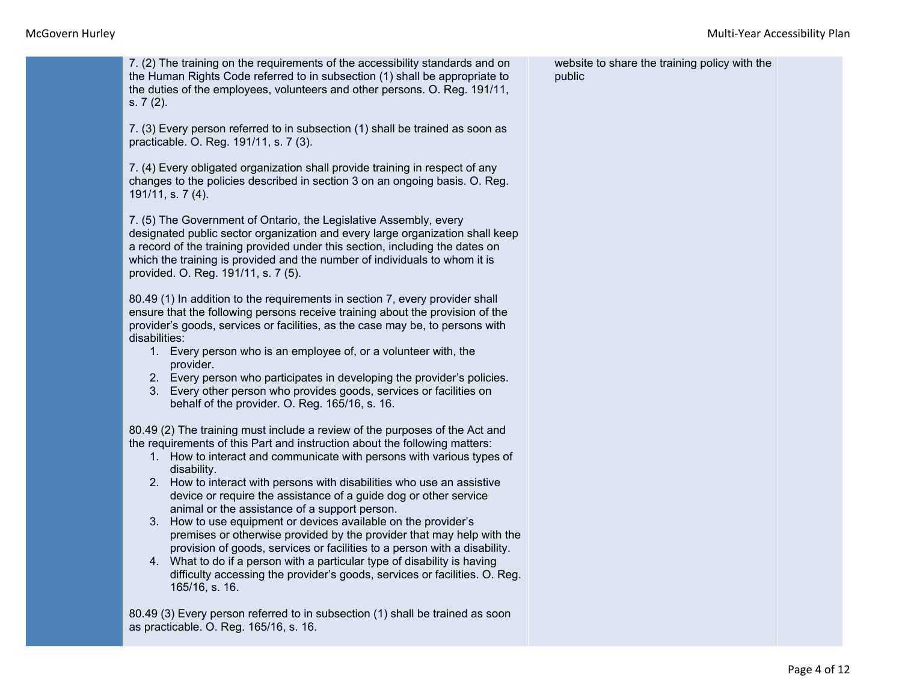7. (2) The training on the requirements of the accessibility standards and on the Human Rights Code referred to in subsection (1) shall be appropriate to the duties of the employees, volunteers and other persons. O. Reg. 191/11, s. 7 (2).

7. (3) Every person referred to in subsection (1) shall be trained as soon as practicable. O. Reg. 191/11, s. 7 (3).

7. (4) Every obligated organization shall provide training in respect of any changes to the policies described in section 3 on an ongoing basis. O. Reg. 191/11, s. 7 (4).

7. (5) The Government of Ontario, the Legislative Assembly, every designated public sector organization and every large organization shall keep a record of the training provided under this section, including the dates on which the training is provided and the number of individuals to whom it is provided. O. Reg. 191/11, s. 7 (5).

80.49 (1) In addition to the requirements in section 7, every provider shall ensure that the following persons receive training about the provision of the provider's goods, services or facilities, as the case may be, to persons with disabilities:

- 1. Every person who is an employee of, or a volunteer with, the provider.
- 2. Every person who participates in developing the provider's policies.
- 3. Every other person who provides goods, services or facilities on behalf of the provider. O. Reg. 165/16, s. 16.

80.49 (2) The training must include a review of the purposes of the Act and the requirements of this Part and instruction about the following matters:

- 1. How to interact and communicate with persons with various types of disability.
- 2. How to interact with persons with disabilities who use an assistive device or require the assistance of a guide dog or other service animal or the assistance of a support person.
- 3. How to use equipment or devices available on the provider's premises or otherwise provided by the provider that may help with the provision of goods, services or facilities to a person with a disability.
- 4. What to do if a person with a particular type of disability is having difficulty accessing the provider's goods, services or facilities. O. Reg. 165/16, s. 16.

80.49 (3) Every person referred to in subsection (1) shall be trained as soon as practicable. O. Reg. 165/16, s. 16.

website to share the training policy with the public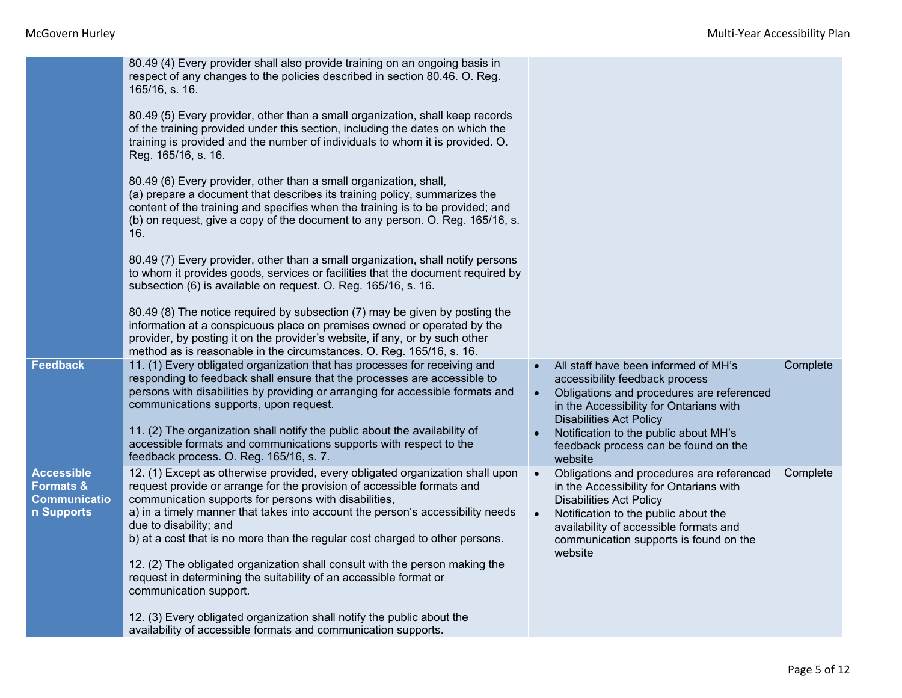|                                                                                | 80.49 (4) Every provider shall also provide training on an ongoing basis in<br>respect of any changes to the policies described in section 80.46. O. Reg.<br>165/16, s. 16.                                                                                                                                                                                                                                                                                                                                                                                                                |                        |                                                                                                                                                                                                                                                                                              |          |
|--------------------------------------------------------------------------------|--------------------------------------------------------------------------------------------------------------------------------------------------------------------------------------------------------------------------------------------------------------------------------------------------------------------------------------------------------------------------------------------------------------------------------------------------------------------------------------------------------------------------------------------------------------------------------------------|------------------------|----------------------------------------------------------------------------------------------------------------------------------------------------------------------------------------------------------------------------------------------------------------------------------------------|----------|
|                                                                                | 80.49 (5) Every provider, other than a small organization, shall keep records<br>of the training provided under this section, including the dates on which the<br>training is provided and the number of individuals to whom it is provided. O.<br>Reg. 165/16, s. 16.                                                                                                                                                                                                                                                                                                                     |                        |                                                                                                                                                                                                                                                                                              |          |
|                                                                                | 80.49 (6) Every provider, other than a small organization, shall,<br>(a) prepare a document that describes its training policy, summarizes the<br>content of the training and specifies when the training is to be provided; and<br>(b) on request, give a copy of the document to any person. O. Reg. 165/16, s.<br>16.                                                                                                                                                                                                                                                                   |                        |                                                                                                                                                                                                                                                                                              |          |
|                                                                                | 80.49 (7) Every provider, other than a small organization, shall notify persons<br>to whom it provides goods, services or facilities that the document required by<br>subsection (6) is available on request. O. Reg. 165/16, s. 16.                                                                                                                                                                                                                                                                                                                                                       |                        |                                                                                                                                                                                                                                                                                              |          |
|                                                                                | 80.49 (8) The notice required by subsection (7) may be given by posting the<br>information at a conspicuous place on premises owned or operated by the<br>provider, by posting it on the provider's website, if any, or by such other<br>method as is reasonable in the circumstances. O. Reg. 165/16, s. 16.                                                                                                                                                                                                                                                                              |                        |                                                                                                                                                                                                                                                                                              |          |
| Feedback                                                                       | 11. (1) Every obligated organization that has processes for receiving and<br>responding to feedback shall ensure that the processes are accessible to<br>persons with disabilities by providing or arranging for accessible formats and<br>communications supports, upon request.<br>11. (2) The organization shall notify the public about the availability of<br>accessible formats and communications supports with respect to the<br>feedback process. O. Reg. 165/16, s. 7.                                                                                                           | $\bullet$<br>$\bullet$ | All staff have been informed of MH's<br>accessibility feedback process<br>Obligations and procedures are referenced<br>in the Accessibility for Ontarians with<br><b>Disabilities Act Policy</b><br>Notification to the public about MH's<br>feedback process can be found on the<br>website | Complete |
| <b>Accessible</b><br><b>Formats &amp;</b><br><b>Communicatio</b><br>n Supports | 12. (1) Except as otherwise provided, every obligated organization shall upon<br>request provide or arrange for the provision of accessible formats and<br>communication supports for persons with disabilities,<br>a) in a timely manner that takes into account the person's accessibility needs<br>due to disability; and<br>b) at a cost that is no more than the regular cost charged to other persons.<br>12. (2) The obligated organization shall consult with the person making the<br>request in determining the suitability of an accessible format or<br>communication support. | $\bullet$<br>$\bullet$ | Obligations and procedures are referenced<br>in the Accessibility for Ontarians with<br><b>Disabilities Act Policy</b><br>Notification to the public about the<br>availability of accessible formats and<br>communication supports is found on the<br>website                                | Complete |
|                                                                                | 12. (3) Every obligated organization shall notify the public about the<br>availability of accessible formats and communication supports.                                                                                                                                                                                                                                                                                                                                                                                                                                                   |                        |                                                                                                                                                                                                                                                                                              |          |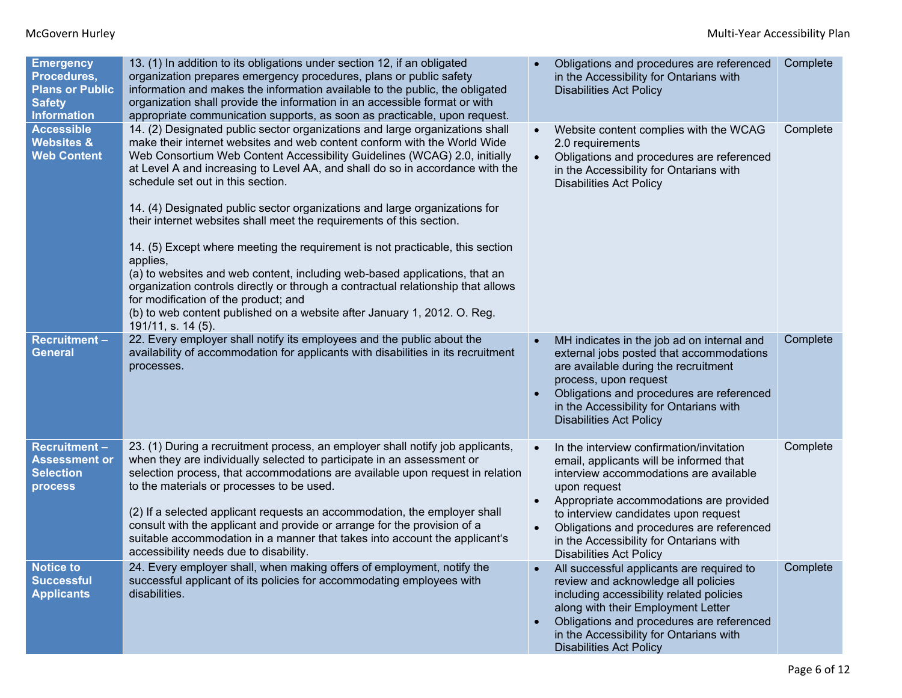| <b>Emergency</b><br>Procedures,<br><b>Plans or Public</b><br><b>Safety</b><br><b>Information</b> | 13. (1) In addition to its obligations under section 12, if an obligated<br>organization prepares emergency procedures, plans or public safety<br>information and makes the information available to the public, the obligated<br>organization shall provide the information in an accessible format or with<br>appropriate communication supports, as soon as practicable, upon request.                                                                                                                                                                                                                                                                                                                                                                                                                                                                                                                                  | Obligations and procedures are referenced<br>in the Accessibility for Ontarians with<br><b>Disabilities Act Policy</b>                                                                                                                                                                                                                                     | Complete |
|--------------------------------------------------------------------------------------------------|----------------------------------------------------------------------------------------------------------------------------------------------------------------------------------------------------------------------------------------------------------------------------------------------------------------------------------------------------------------------------------------------------------------------------------------------------------------------------------------------------------------------------------------------------------------------------------------------------------------------------------------------------------------------------------------------------------------------------------------------------------------------------------------------------------------------------------------------------------------------------------------------------------------------------|------------------------------------------------------------------------------------------------------------------------------------------------------------------------------------------------------------------------------------------------------------------------------------------------------------------------------------------------------------|----------|
| <b>Accessible</b><br><b>Websites &amp;</b><br><b>Web Content</b>                                 | 14. (2) Designated public sector organizations and large organizations shall<br>make their internet websites and web content conform with the World Wide<br>Web Consortium Web Content Accessibility Guidelines (WCAG) 2.0, initially<br>at Level A and increasing to Level AA, and shall do so in accordance with the<br>schedule set out in this section.<br>14. (4) Designated public sector organizations and large organizations for<br>their internet websites shall meet the requirements of this section.<br>14. (5) Except where meeting the requirement is not practicable, this section<br>applies,<br>(a) to websites and web content, including web-based applications, that an<br>organization controls directly or through a contractual relationship that allows<br>for modification of the product; and<br>(b) to web content published on a website after January 1, 2012. O. Reg.<br>191/11, s. 14 (5). | Website content complies with the WCAG<br>2.0 requirements<br>Obligations and procedures are referenced<br>in the Accessibility for Ontarians with<br><b>Disabilities Act Policy</b>                                                                                                                                                                       | Complete |
| <b>Recruitment-</b><br><b>General</b>                                                            | 22. Every employer shall notify its employees and the public about the<br>availability of accommodation for applicants with disabilities in its recruitment<br>processes.                                                                                                                                                                                                                                                                                                                                                                                                                                                                                                                                                                                                                                                                                                                                                  | MH indicates in the job ad on internal and<br>external jobs posted that accommodations<br>are available during the recruitment<br>process, upon request<br>Obligations and procedures are referenced<br>in the Accessibility for Ontarians with<br><b>Disabilities Act Policy</b>                                                                          | Complete |
| <b>Recruitment-</b><br><b>Assessment or</b><br><b>Selection</b><br>process                       | 23. (1) During a recruitment process, an employer shall notify job applicants,<br>when they are individually selected to participate in an assessment or<br>selection process, that accommodations are available upon request in relation<br>to the materials or processes to be used.<br>(2) If a selected applicant requests an accommodation, the employer shall<br>consult with the applicant and provide or arrange for the provision of a<br>suitable accommodation in a manner that takes into account the applicant's<br>accessibility needs due to disability.                                                                                                                                                                                                                                                                                                                                                    | In the interview confirmation/invitation<br>email, applicants will be informed that<br>interview accommodations are available<br>upon request<br>Appropriate accommodations are provided<br>to interview candidates upon request<br>Obligations and procedures are referenced<br>in the Accessibility for Ontarians with<br><b>Disabilities Act Policy</b> | Complete |
| <b>Notice to</b><br><b>Successful</b><br><b>Applicants</b>                                       | 24. Every employer shall, when making offers of employment, notify the<br>successful applicant of its policies for accommodating employees with<br>disabilities.                                                                                                                                                                                                                                                                                                                                                                                                                                                                                                                                                                                                                                                                                                                                                           | All successful applicants are required to<br>review and acknowledge all policies<br>including accessibility related policies<br>along with their Employment Letter<br>Obligations and procedures are referenced<br>in the Accessibility for Ontarians with<br><b>Disabilities Act Policy</b>                                                               | Complete |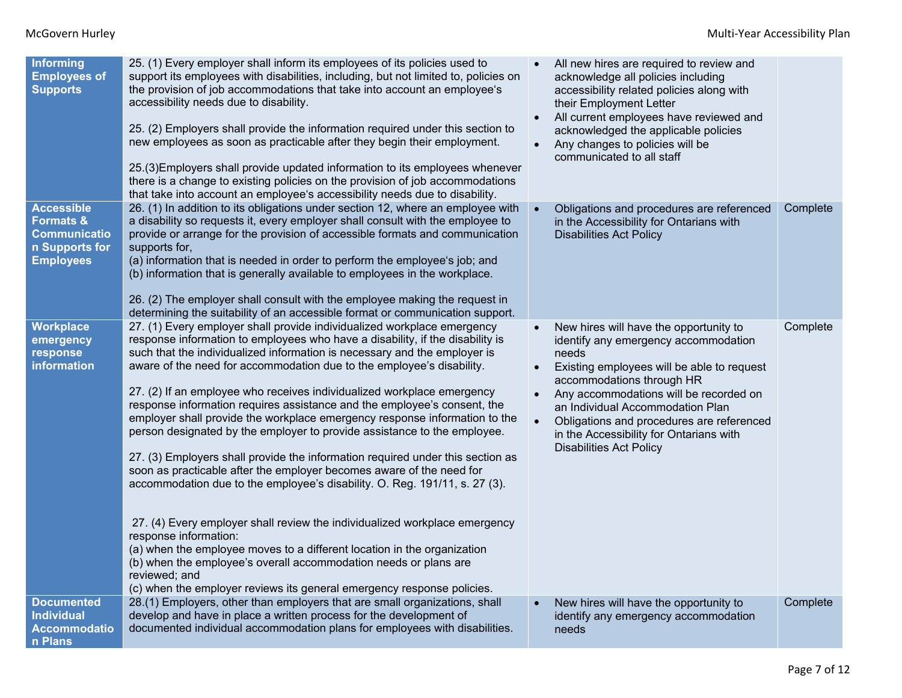| Informing<br><b>Employees of</b><br><b>Supports</b>                                                    | 25. (1) Every employer shall inform its employees of its policies used to<br>support its employees with disabilities, including, but not limited to, policies on<br>the provision of job accommodations that take into account an employee's<br>accessibility needs due to disability.<br>25. (2) Employers shall provide the information required under this section to<br>new employees as soon as practicable after they begin their employment.<br>25.(3) Employers shall provide updated information to its employees whenever<br>there is a change to existing policies on the provision of job accommodations<br>that take into account an employee's accessibility needs due to disability.                                                                                                                                                                                                                                                                                                                                                                                                                                                                                                                     |           | All new hires are required to review and<br>acknowledge all policies including<br>accessibility related policies along with<br>their Employment Letter<br>All current employees have reviewed and<br>acknowledged the applicable policies<br>Any changes to policies will be<br>communicated to all staff                                                                  |          |
|--------------------------------------------------------------------------------------------------------|-------------------------------------------------------------------------------------------------------------------------------------------------------------------------------------------------------------------------------------------------------------------------------------------------------------------------------------------------------------------------------------------------------------------------------------------------------------------------------------------------------------------------------------------------------------------------------------------------------------------------------------------------------------------------------------------------------------------------------------------------------------------------------------------------------------------------------------------------------------------------------------------------------------------------------------------------------------------------------------------------------------------------------------------------------------------------------------------------------------------------------------------------------------------------------------------------------------------------|-----------|----------------------------------------------------------------------------------------------------------------------------------------------------------------------------------------------------------------------------------------------------------------------------------------------------------------------------------------------------------------------------|----------|
| <b>Accessible</b><br><b>Formats &amp;</b><br><b>Communicatio</b><br>n Supports for<br><b>Employees</b> | 26. (1) In addition to its obligations under section 12, where an employee with<br>a disability so requests it, every employer shall consult with the employee to<br>provide or arrange for the provision of accessible formats and communication<br>supports for,<br>(a) information that is needed in order to perform the employee's job; and<br>(b) information that is generally available to employees in the workplace.<br>26. (2) The employer shall consult with the employee making the request in<br>determining the suitability of an accessible format or communication support.                                                                                                                                                                                                                                                                                                                                                                                                                                                                                                                                                                                                                           |           | Obligations and procedures are referenced<br>in the Accessibility for Ontarians with<br><b>Disabilities Act Policy</b>                                                                                                                                                                                                                                                     | Complete |
| <b>Workplace</b><br>emergency<br>response<br>information                                               | 27. (1) Every employer shall provide individualized workplace emergency<br>response information to employees who have a disability, if the disability is<br>such that the individualized information is necessary and the employer is<br>aware of the need for accommodation due to the employee's disability.<br>27. (2) If an employee who receives individualized workplace emergency<br>response information requires assistance and the employee's consent, the<br>employer shall provide the workplace emergency response information to the<br>person designated by the employer to provide assistance to the employee.<br>27. (3) Employers shall provide the information required under this section as<br>soon as practicable after the employer becomes aware of the need for<br>accommodation due to the employee's disability. O. Reg. 191/11, s. 27 (3).<br>27. (4) Every employer shall review the individualized workplace emergency<br>response information:<br>(a) when the employee moves to a different location in the organization<br>(b) when the employee's overall accommodation needs or plans are<br>reviewed; and<br>(c) when the employer reviews its general emergency response policies. | $\bullet$ | New hires will have the opportunity to<br>identify any emergency accommodation<br>needs<br>Existing employees will be able to request<br>accommodations through HR<br>Any accommodations will be recorded on<br>an Individual Accommodation Plan<br>Obligations and procedures are referenced<br>in the Accessibility for Ontarians with<br><b>Disabilities Act Policy</b> | Complete |
| <b>Documented</b><br><b>Individual</b><br><b>Accommodatio</b><br>n Plans                               | 28.(1) Employers, other than employers that are small organizations, shall<br>develop and have in place a written process for the development of<br>documented individual accommodation plans for employees with disabilities.                                                                                                                                                                                                                                                                                                                                                                                                                                                                                                                                                                                                                                                                                                                                                                                                                                                                                                                                                                                          |           | New hires will have the opportunity to<br>identify any emergency accommodation<br>needs                                                                                                                                                                                                                                                                                    | Complete |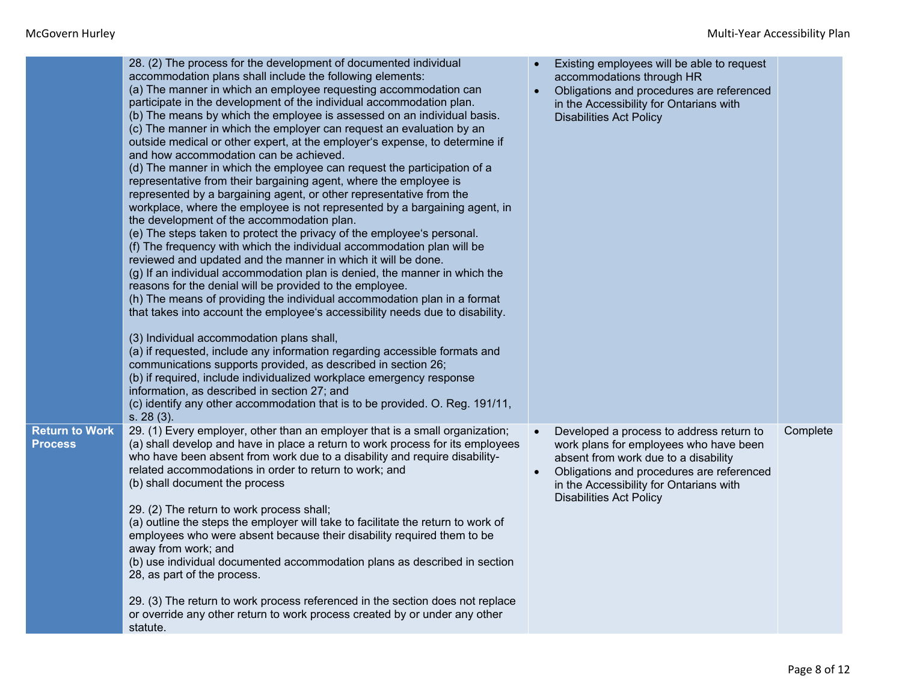|                                         | 28. (2) The process for the development of documented individual<br>accommodation plans shall include the following elements:<br>(a) The manner in which an employee requesting accommodation can<br>participate in the development of the individual accommodation plan.<br>(b) The means by which the employee is assessed on an individual basis.<br>(c) The manner in which the employer can request an evaluation by an<br>outside medical or other expert, at the employer's expense, to determine if<br>and how accommodation can be achieved.<br>(d) The manner in which the employee can request the participation of a<br>representative from their bargaining agent, where the employee is<br>represented by a bargaining agent, or other representative from the<br>workplace, where the employee is not represented by a bargaining agent, in<br>the development of the accommodation plan.<br>(e) The steps taken to protect the privacy of the employee's personal.<br>(f) The frequency with which the individual accommodation plan will be<br>reviewed and updated and the manner in which it will be done.<br>(g) If an individual accommodation plan is denied, the manner in which the<br>reasons for the denial will be provided to the employee.<br>(h) The means of providing the individual accommodation plan in a format<br>that takes into account the employee's accessibility needs due to disability.<br>(3) Individual accommodation plans shall,<br>(a) if requested, include any information regarding accessible formats and<br>communications supports provided, as described in section 26;<br>(b) if required, include individualized workplace emergency response<br>information, as described in section 27; and<br>(c) identify any other accommodation that is to be provided. O. Reg. 191/11,<br>s. 28(3). | Existing employees will be able to request<br>accommodations through HR<br>Obligations and procedures are referenced<br>in the Accessibility for Ontarians with<br><b>Disabilities Act Policy</b>                                                    |          |
|-----------------------------------------|-------------------------------------------------------------------------------------------------------------------------------------------------------------------------------------------------------------------------------------------------------------------------------------------------------------------------------------------------------------------------------------------------------------------------------------------------------------------------------------------------------------------------------------------------------------------------------------------------------------------------------------------------------------------------------------------------------------------------------------------------------------------------------------------------------------------------------------------------------------------------------------------------------------------------------------------------------------------------------------------------------------------------------------------------------------------------------------------------------------------------------------------------------------------------------------------------------------------------------------------------------------------------------------------------------------------------------------------------------------------------------------------------------------------------------------------------------------------------------------------------------------------------------------------------------------------------------------------------------------------------------------------------------------------------------------------------------------------------------------------------------------------------------------------------------------------------------------------------------|------------------------------------------------------------------------------------------------------------------------------------------------------------------------------------------------------------------------------------------------------|----------|
| <b>Return to Work</b><br><b>Process</b> | 29. (1) Every employer, other than an employer that is a small organization;<br>(a) shall develop and have in place a return to work process for its employees<br>who have been absent from work due to a disability and require disability-<br>related accommodations in order to return to work; and<br>(b) shall document the process<br>29. (2) The return to work process shall;<br>(a) outline the steps the employer will take to facilitate the return to work of<br>employees who were absent because their disability required them to be<br>away from work; and<br>(b) use individual documented accommodation plans as described in section<br>28, as part of the process.<br>29. (3) The return to work process referenced in the section does not replace<br>or override any other return to work process created by or under any other<br>statute.                                                                                                                                                                                                                                                                                                                                                                                                                                                                                                                                                                                                                                                                                                                                                                                                                                                                                                                                                                                     | Developed a process to address return to<br>work plans for employees who have been<br>absent from work due to a disability<br>Obligations and procedures are referenced<br>in the Accessibility for Ontarians with<br><b>Disabilities Act Policy</b> | Complete |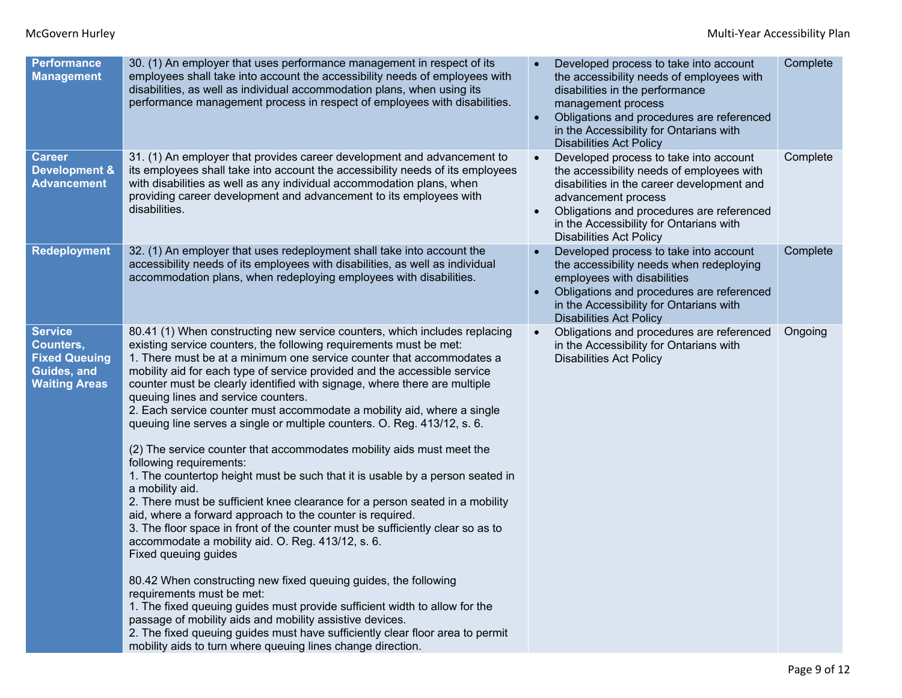| <b>Performance</b><br><b>Management</b>                                                    | 30. (1) An employer that uses performance management in respect of its<br>employees shall take into account the accessibility needs of employees with<br>disabilities, as well as individual accommodation plans, when using its<br>performance management process in respect of employees with disabilities.                                                                                                                                                                                                                                                                                                                                                                                                                                                                                                                                                                                                                                                                                                                                                                                                                                                                                                                                                                                                                                                                                                                                                                                   | Developed process to take into account<br>the accessibility needs of employees with<br>disabilities in the performance<br>management process<br>Obligations and procedures are referenced<br>in the Accessibility for Ontarians with<br><b>Disabilities Act Policy</b>             | Complete |
|--------------------------------------------------------------------------------------------|-------------------------------------------------------------------------------------------------------------------------------------------------------------------------------------------------------------------------------------------------------------------------------------------------------------------------------------------------------------------------------------------------------------------------------------------------------------------------------------------------------------------------------------------------------------------------------------------------------------------------------------------------------------------------------------------------------------------------------------------------------------------------------------------------------------------------------------------------------------------------------------------------------------------------------------------------------------------------------------------------------------------------------------------------------------------------------------------------------------------------------------------------------------------------------------------------------------------------------------------------------------------------------------------------------------------------------------------------------------------------------------------------------------------------------------------------------------------------------------------------|------------------------------------------------------------------------------------------------------------------------------------------------------------------------------------------------------------------------------------------------------------------------------------|----------|
| <b>Career</b><br><b>Development &amp;</b><br><b>Advancement</b>                            | 31. (1) An employer that provides career development and advancement to<br>its employees shall take into account the accessibility needs of its employees<br>with disabilities as well as any individual accommodation plans, when<br>providing career development and advancement to its employees with<br>disabilities.                                                                                                                                                                                                                                                                                                                                                                                                                                                                                                                                                                                                                                                                                                                                                                                                                                                                                                                                                                                                                                                                                                                                                                       | Developed process to take into account<br>the accessibility needs of employees with<br>disabilities in the career development and<br>advancement process<br>Obligations and procedures are referenced<br>in the Accessibility for Ontarians with<br><b>Disabilities Act Policy</b> | Complete |
| <b>Redeployment</b>                                                                        | 32. (1) An employer that uses redeployment shall take into account the<br>accessibility needs of its employees with disabilities, as well as individual<br>accommodation plans, when redeploying employees with disabilities.                                                                                                                                                                                                                                                                                                                                                                                                                                                                                                                                                                                                                                                                                                                                                                                                                                                                                                                                                                                                                                                                                                                                                                                                                                                                   | Developed process to take into account<br>the accessibility needs when redeploying<br>employees with disabilities<br>Obligations and procedures are referenced<br>in the Accessibility for Ontarians with<br><b>Disabilities Act Policy</b>                                        | Complete |
| <b>Service</b><br>Counters,<br><b>Fixed Queuing</b><br>Guides, and<br><b>Waiting Areas</b> | 80.41 (1) When constructing new service counters, which includes replacing<br>existing service counters, the following requirements must be met:<br>1. There must be at a minimum one service counter that accommodates a<br>mobility aid for each type of service provided and the accessible service<br>counter must be clearly identified with signage, where there are multiple<br>queuing lines and service counters.<br>2. Each service counter must accommodate a mobility aid, where a single<br>queuing line serves a single or multiple counters. O. Reg. 413/12, s. 6.<br>(2) The service counter that accommodates mobility aids must meet the<br>following requirements:<br>1. The countertop height must be such that it is usable by a person seated in<br>a mobility aid.<br>2. There must be sufficient knee clearance for a person seated in a mobility<br>aid, where a forward approach to the counter is required.<br>3. The floor space in front of the counter must be sufficiently clear so as to<br>accommodate a mobility aid. O. Reg. 413/12, s. 6.<br>Fixed queuing guides<br>80.42 When constructing new fixed queuing guides, the following<br>requirements must be met:<br>1. The fixed queuing guides must provide sufficient width to allow for the<br>passage of mobility aids and mobility assistive devices.<br>2. The fixed queuing guides must have sufficiently clear floor area to permit<br>mobility aids to turn where queuing lines change direction. | Obligations and procedures are referenced<br>in the Accessibility for Ontarians with<br><b>Disabilities Act Policy</b>                                                                                                                                                             | Ongoing  |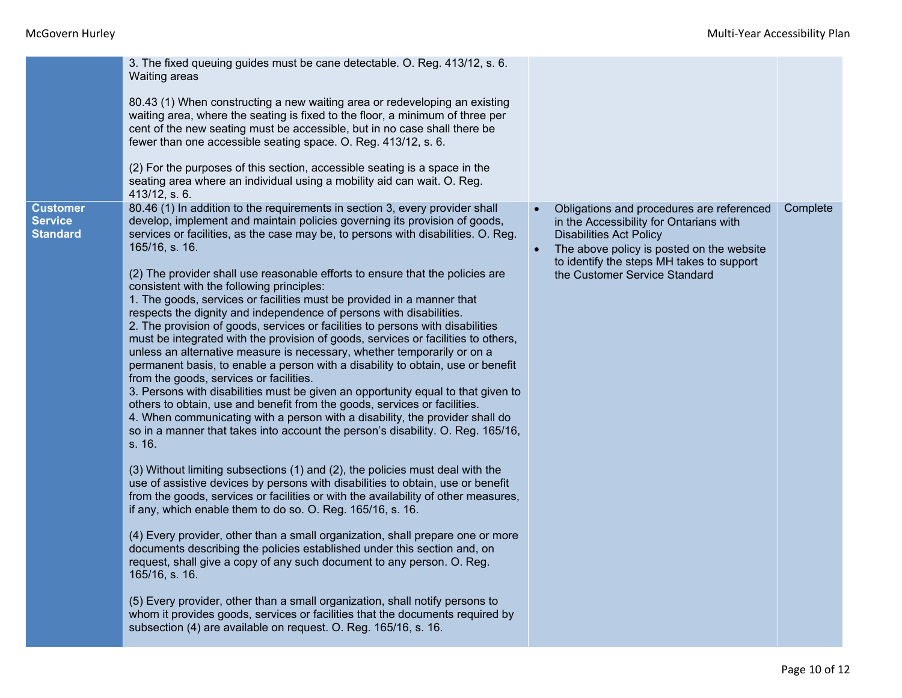|                                                      | 3. The fixed queuing guides must be cane detectable. O. Reg. 413/12, s. 6.<br><b>Waiting areas</b><br>80.43 (1) When constructing a new waiting area or redeveloping an existing<br>waiting area, where the seating is fixed to the floor, a minimum of three per<br>cent of the new seating must be accessible, but in no case shall there be<br>fewer than one accessible seating space. O. Reg. 413/12, s. 6.                                                                                                                                                                                                                                                                                                                                                                                                                                                                                                                                                                                                                                                                                                                                                                                                                                                                                                                                                                                                                                                                                                                                                                                                                                                                                                                                                                                                                                                                                                                                                                                                                                                                                     |                                                                                                                                                                                                                                                                |          |
|------------------------------------------------------|------------------------------------------------------------------------------------------------------------------------------------------------------------------------------------------------------------------------------------------------------------------------------------------------------------------------------------------------------------------------------------------------------------------------------------------------------------------------------------------------------------------------------------------------------------------------------------------------------------------------------------------------------------------------------------------------------------------------------------------------------------------------------------------------------------------------------------------------------------------------------------------------------------------------------------------------------------------------------------------------------------------------------------------------------------------------------------------------------------------------------------------------------------------------------------------------------------------------------------------------------------------------------------------------------------------------------------------------------------------------------------------------------------------------------------------------------------------------------------------------------------------------------------------------------------------------------------------------------------------------------------------------------------------------------------------------------------------------------------------------------------------------------------------------------------------------------------------------------------------------------------------------------------------------------------------------------------------------------------------------------------------------------------------------------------------------------------------------------|----------------------------------------------------------------------------------------------------------------------------------------------------------------------------------------------------------------------------------------------------------------|----------|
|                                                      | (2) For the purposes of this section, accessible seating is a space in the<br>seating area where an individual using a mobility aid can wait. O. Reg.<br>413/12, s. 6.                                                                                                                                                                                                                                                                                                                                                                                                                                                                                                                                                                                                                                                                                                                                                                                                                                                                                                                                                                                                                                                                                                                                                                                                                                                                                                                                                                                                                                                                                                                                                                                                                                                                                                                                                                                                                                                                                                                               |                                                                                                                                                                                                                                                                |          |
| <b>Customer</b><br><b>Service</b><br><b>Standard</b> | 80.46 (1) In addition to the requirements in section 3, every provider shall<br>develop, implement and maintain policies governing its provision of goods,<br>services or facilities, as the case may be, to persons with disabilities. O. Reg.<br>165/16, s. 16.<br>(2) The provider shall use reasonable efforts to ensure that the policies are<br>consistent with the following principles:<br>1. The goods, services or facilities must be provided in a manner that<br>respects the dignity and independence of persons with disabilities.<br>2. The provision of goods, services or facilities to persons with disabilities<br>must be integrated with the provision of goods, services or facilities to others,<br>unless an alternative measure is necessary, whether temporarily or on a<br>permanent basis, to enable a person with a disability to obtain, use or benefit<br>from the goods, services or facilities.<br>3. Persons with disabilities must be given an opportunity equal to that given to<br>others to obtain, use and benefit from the goods, services or facilities.<br>4. When communicating with a person with a disability, the provider shall do<br>so in a manner that takes into account the person's disability. O. Reg. 165/16,<br>s. 16.<br>(3) Without limiting subsections (1) and (2), the policies must deal with the<br>use of assistive devices by persons with disabilities to obtain, use or benefit<br>from the goods, services or facilities or with the availability of other measures,<br>if any, which enable them to do so. O. Reg. 165/16, s. 16.<br>(4) Every provider, other than a small organization, shall prepare one or more<br>documents describing the policies established under this section and, on<br>request, shall give a copy of any such document to any person. O. Reg.<br>165/16, s. 16.<br>(5) Every provider, other than a small organization, shall notify persons to<br>whom it provides goods, services or facilities that the documents required by<br>subsection (4) are available on request. O. Reg. 165/16, s. 16. | Obligations and procedures are referenced<br>in the Accessibility for Ontarians with<br><b>Disabilities Act Policy</b><br>The above policy is posted on the website<br>$\bullet$<br>to identify the steps MH takes to support<br>the Customer Service Standard | Complete |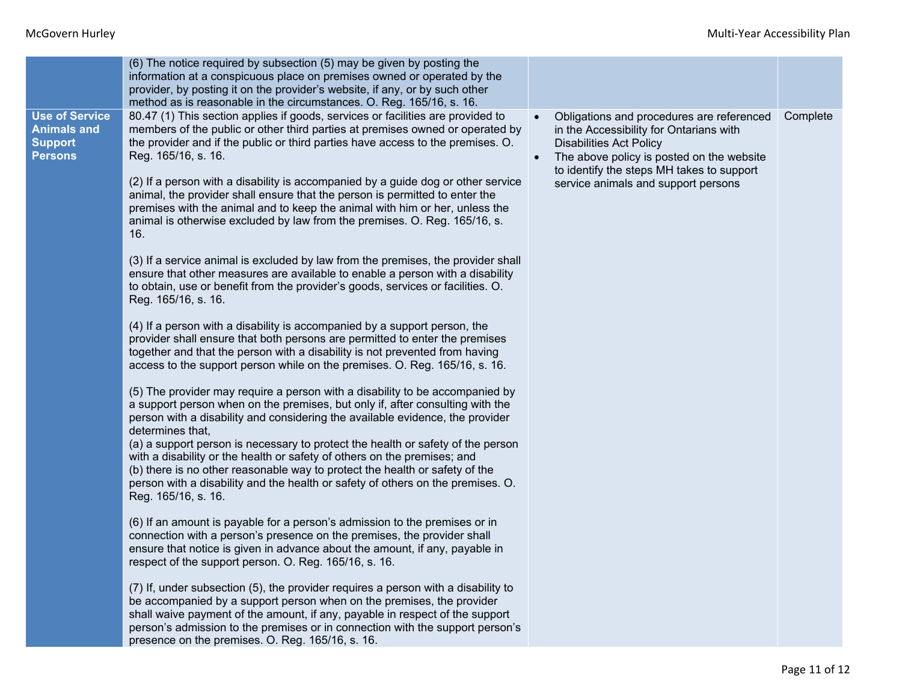|                                                                                 | (6) The notice required by subsection (5) may be given by posting the<br>information at a conspicuous place on premises owned or operated by the<br>provider, by posting it on the provider's website, if any, or by such other<br>method as is reasonable in the circumstances. O. Reg. 165/16, s. 16.                                                                                                                                                                                                                                                                                                                                                                                                                                                                                                                                                                                                                                                                                                                                                                                                                                                                                                                                                                                                                                                                                                                                                                                                                                                                                                                                                                                                                                                                                                                                                                                                                                                                                                                                                                                                                                                                                                                                                                                                                                                                                                                                                                                                                                    |                                                                                                                                                                                                                                                         |          |
|---------------------------------------------------------------------------------|--------------------------------------------------------------------------------------------------------------------------------------------------------------------------------------------------------------------------------------------------------------------------------------------------------------------------------------------------------------------------------------------------------------------------------------------------------------------------------------------------------------------------------------------------------------------------------------------------------------------------------------------------------------------------------------------------------------------------------------------------------------------------------------------------------------------------------------------------------------------------------------------------------------------------------------------------------------------------------------------------------------------------------------------------------------------------------------------------------------------------------------------------------------------------------------------------------------------------------------------------------------------------------------------------------------------------------------------------------------------------------------------------------------------------------------------------------------------------------------------------------------------------------------------------------------------------------------------------------------------------------------------------------------------------------------------------------------------------------------------------------------------------------------------------------------------------------------------------------------------------------------------------------------------------------------------------------------------------------------------------------------------------------------------------------------------------------------------------------------------------------------------------------------------------------------------------------------------------------------------------------------------------------------------------------------------------------------------------------------------------------------------------------------------------------------------------------------------------------------------------------------------------------------------|---------------------------------------------------------------------------------------------------------------------------------------------------------------------------------------------------------------------------------------------------------|----------|
| <b>Use of Service</b><br><b>Animals and</b><br><b>Support</b><br><b>Persons</b> | 80.47 (1) This section applies if goods, services or facilities are provided to<br>members of the public or other third parties at premises owned or operated by<br>the provider and if the public or third parties have access to the premises. O.<br>Reg. 165/16, s. 16.<br>(2) If a person with a disability is accompanied by a guide dog or other service<br>animal, the provider shall ensure that the person is permitted to enter the<br>premises with the animal and to keep the animal with him or her, unless the<br>animal is otherwise excluded by law from the premises. O. Reg. 165/16, s.<br>16.<br>(3) If a service animal is excluded by law from the premises, the provider shall<br>ensure that other measures are available to enable a person with a disability<br>to obtain, use or benefit from the provider's goods, services or facilities. O.<br>Reg. 165/16, s. 16.<br>(4) If a person with a disability is accompanied by a support person, the<br>provider shall ensure that both persons are permitted to enter the premises<br>together and that the person with a disability is not prevented from having<br>access to the support person while on the premises. O. Reg. 165/16, s. 16.<br>(5) The provider may require a person with a disability to be accompanied by<br>a support person when on the premises, but only if, after consulting with the<br>person with a disability and considering the available evidence, the provider<br>determines that,<br>(a) a support person is necessary to protect the health or safety of the person<br>with a disability or the health or safety of others on the premises; and<br>(b) there is no other reasonable way to protect the health or safety of the<br>person with a disability and the health or safety of others on the premises. O.<br>Reg. 165/16, s. 16.<br>(6) If an amount is payable for a person's admission to the premises or in<br>connection with a person's presence on the premises, the provider shall<br>ensure that notice is given in advance about the amount, if any, payable in<br>respect of the support person. O. Reg. 165/16, s. 16.<br>(7) If, under subsection (5), the provider requires a person with a disability to<br>be accompanied by a support person when on the premises, the provider<br>shall waive payment of the amount, if any, payable in respect of the support<br>person's admission to the premises or in connection with the support person's<br>presence on the premises. O. Reg. 165/16, s. 16. | Obligations and procedures are referenced<br>in the Accessibility for Ontarians with<br><b>Disabilities Act Policy</b><br>The above policy is posted on the website<br>to identify the steps MH takes to support<br>service animals and support persons | Complete |
|                                                                                 |                                                                                                                                                                                                                                                                                                                                                                                                                                                                                                                                                                                                                                                                                                                                                                                                                                                                                                                                                                                                                                                                                                                                                                                                                                                                                                                                                                                                                                                                                                                                                                                                                                                                                                                                                                                                                                                                                                                                                                                                                                                                                                                                                                                                                                                                                                                                                                                                                                                                                                                                            |                                                                                                                                                                                                                                                         |          |